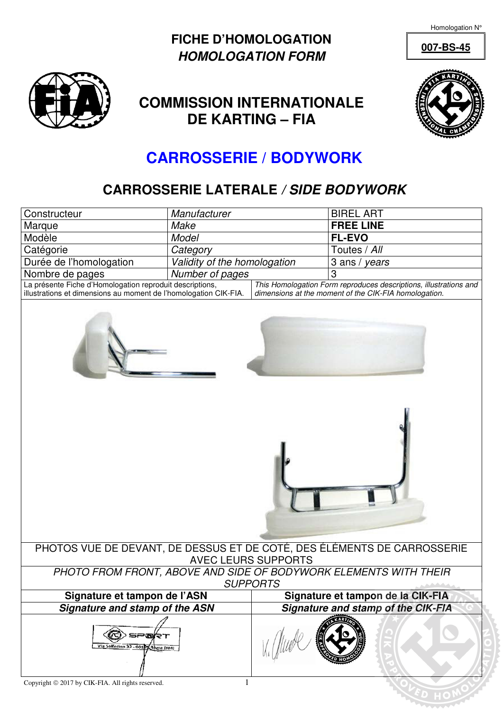Homologation N°

## **FICHE D'HOMOLOGATION HOMOLOGATION FORM**



## **COMMISSION INTERNATIONALE DE KARTING – FIA**



**007-BS-45**

## **CARROSSERIE / BODYWORK**

## **CARROSSERIE LATERALE / SIDE BODYWORK**

| Constructeur                                                                                                                                                                                                                                               | Manufacturer                 |                                           | <b>BIREL ART</b> |  |  |  |  |
|------------------------------------------------------------------------------------------------------------------------------------------------------------------------------------------------------------------------------------------------------------|------------------------------|-------------------------------------------|------------------|--|--|--|--|
| Marque                                                                                                                                                                                                                                                     | Make                         |                                           | <b>FREE LINE</b> |  |  |  |  |
| Modèle                                                                                                                                                                                                                                                     | Model                        |                                           | <b>FL-EVO</b>    |  |  |  |  |
| Catégorie                                                                                                                                                                                                                                                  | Category                     |                                           | Toutes / All     |  |  |  |  |
| Durée de l'homologation                                                                                                                                                                                                                                    | Validity of the homologation |                                           | 3 ans / years    |  |  |  |  |
| Nombre de pages                                                                                                                                                                                                                                            | Number of pages              |                                           | 3                |  |  |  |  |
| La présente Fiche d'Homologation reproduit descriptions,<br>This Homologation Form reproduces descriptions, illustrations and<br>illustrations et dimensions au moment de l'homologation CIK-FIA.<br>dimensions at the moment of the CIK-FIA homologation. |                              |                                           |                  |  |  |  |  |
|                                                                                                                                                                                                                                                            |                              |                                           |                  |  |  |  |  |
| PHOTOS VUE DE DEVANT, DE DESSUS ET DE COTÉ, DES ÉLÉMENTS DE CARROSSERIE                                                                                                                                                                                    |                              |                                           |                  |  |  |  |  |
| <b>AVEC LEURS SUPPORTS</b>                                                                                                                                                                                                                                 |                              |                                           |                  |  |  |  |  |
| PHOTO FROM FRONT, ABOVE AND SIDE OF BODYWORK ELEMENTS WITH THEIR<br><b>SUPPORTS</b>                                                                                                                                                                        |                              |                                           |                  |  |  |  |  |
| Signature et tampon de l'ASN                                                                                                                                                                                                                               |                              | Signature et tampon de la CIK-FIA         |                  |  |  |  |  |
| Signature and stamp of the ASN                                                                                                                                                                                                                             |                              | <b>Signature and stamp of the CIK-FIA</b> |                  |  |  |  |  |
| ⋾⋶⋒⋳⋍<br>Vía Solferino 32 - 001 BX Roma (RM)                                                                                                                                                                                                               |                              |                                           |                  |  |  |  |  |
| Copyright © 2017 by CIK-FIA. All rights reserved.                                                                                                                                                                                                          |                              |                                           |                  |  |  |  |  |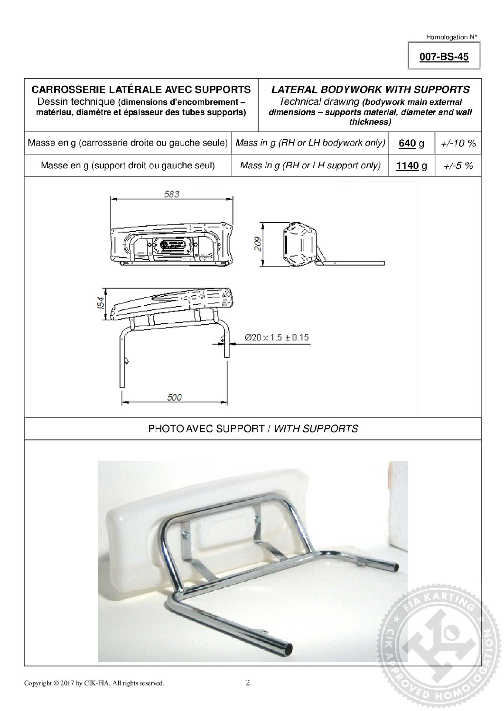007-BS-45

| <b>CARROSSERIE LATÉRALE AVEC SUPPORTS</b><br>Dessin technique (dimensions d'encombrement-<br>matériau, diamètre et épaisseur des tubes supports) |            | <b>LATERAL BODYWORK WITH SUPPORTS</b><br>Technical drawing (bodywork main external<br>dimensions - supports material, diameter and wall<br>thickness) |                   |          |  |
|--------------------------------------------------------------------------------------------------------------------------------------------------|------------|-------------------------------------------------------------------------------------------------------------------------------------------------------|-------------------|----------|--|
| Masse en g (carrosserie droite ou gauche seule)                                                                                                  |            | Mass in g (RH or LH bodywork only)                                                                                                                    | 640g              | $+/-10%$ |  |
| Masse en g (support droit ou gauche seul)                                                                                                        |            | Mass in g (RH or LH support only)                                                                                                                     | 1140 <sub>g</sub> | $+/-5%$  |  |
| 583                                                                                                                                              | 209        |                                                                                                                                                       |                   |          |  |
| 54<br>500                                                                                                                                        |            | $Ø20 \times 1.5 \pm 0.15$                                                                                                                             |                   |          |  |
|                                                                                                                                                  |            | PHOTO AVEC SUPPORT / WITH SUPPORTS                                                                                                                    |                   |          |  |
|                                                                                                                                                  |            |                                                                                                                                                       |                   |          |  |
| Copyright @ 2017 by CIK-FIA. All rights reserved.                                                                                                | $\sqrt{2}$ |                                                                                                                                                       |                   |          |  |